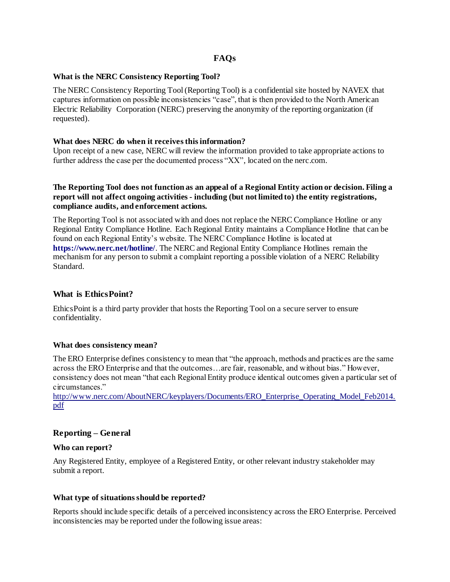# **FAQs**

#### **What is the NERC Consistency Reporting Tool?**

The NERC Consistency Reporting Tool (Reporting Tool) is a confidential site hosted by NAVEX that captures information on possible inconsistencies "case", that is then provided to the North American Electric Reliability Corporation (NERC) preserving the anonymity of the reporting organization (if requested).

### **What does NERC do when it receives this information?**

Upon receipt of a new case, NERC will review the information provided to take appropriate actions to further address the case per the documented process "XX", located on the nerc.com.

### **The Reporting Tool does not function as an appeal of a Regional Entity action or decision. Filing a report will not affect ongoing activities - including (but not limited to) the entity registrations, compliance audits, and enforcement actions.**

The Reporting Tool is not associated with and does not replace the NERC Compliance Hotline or any Regional Entity Compliance Hotline. Each Regional Entity maintains a Compliance Hotline that can be found on each Regional Entity's website. The NERC Compliance Hotline is located at **https://www.nerc.net/hotline/**. The NERC and Regional Entity Compliance Hotlines remain the mechanism for any person to submit a complaint reporting a possible violation of a NERC Reliability Standard.

# **What is EthicsPoint?**

EthicsPoint is a third party provider that hosts the Reporting Tool on a secure server to ensure confidentiality.

#### **What does consistency mean?**

The ERO Enterprise defines consistency to mean that "the approach, methods and practices are the same across the ERO Enterprise and that the outcomes…are fair, reasonable, and without bias." However, consistency does not mean "that each Regional Entity produce identical outcomes given a particular set of circumstances."

[http://www.nerc.com/AboutNERC/keyplayers/Documents/ERO\\_Enterprise\\_Operating\\_Model\\_Feb2014.](http://www.nerc.com/AboutNERC/keyplayers/Documents/ERO_Enterprise_Operating_Model_Feb2014.pdf) [pdf](http://www.nerc.com/AboutNERC/keyplayers/Documents/ERO_Enterprise_Operating_Model_Feb2014.pdf)

# **Reporting – General**

#### **Who can report?**

Any Registered Entity, employee of a Registered Entity, or other relevant industry stakeholder may submit a report.

#### **What type of situations should be reported?**

Reports should include specific details of a perceived inconsistency across the ERO Enterprise. Perceived inconsistencies may be reported under the following issue areas: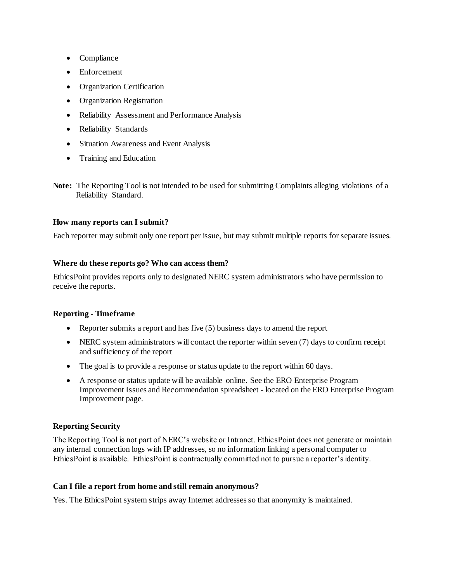- Compliance
- Enforcement
- Organization Certification
- Organization Registration
- Reliability Assessment and Performance Analysis
- Reliability Standards
- Situation Awareness and Event Analysis
- Training and Education
- **Note:** The Reporting Tool is not intended to be used for submitting Complaints alleging violations of a Reliability Standard.

# **How many reports can I submit?**

Each reporter may submit only one report per issue, but may submit multiple reports for separate issues.

#### **Where do these reports go? Who can access them?**

EthicsPoint provides reports only to designated NERC system administrators who have permission to receive the reports.

#### **Reporting - Timeframe**

- Reporter submits a report and has five (5) business days to amend the report
- NERC system administrators will contact the reporter within seven (7) days to confirm receipt and sufficiency of the report
- The goal is to provide a response or status update to the report within 60 days.
- A response or status update will be available online. See the ERO Enterprise Program Improvement Issues and Recommendation spreadsheet - located on the ERO Enterprise Program Improvement page.

# **Reporting Security**

The Reporting Tool is not part of NERC's website or Intranet. EthicsPoint does not generate or maintain any internal connection logs with IP addresses, so no information linking a personal computer to EthicsPoint is available. EthicsPoint is contractually committed not to pursue a reporter's identity.

#### **Can I file a report from home and still remain anonymous?**

Yes. The EthicsPoint system strips away Internet addresses so that anonymity is maintained.